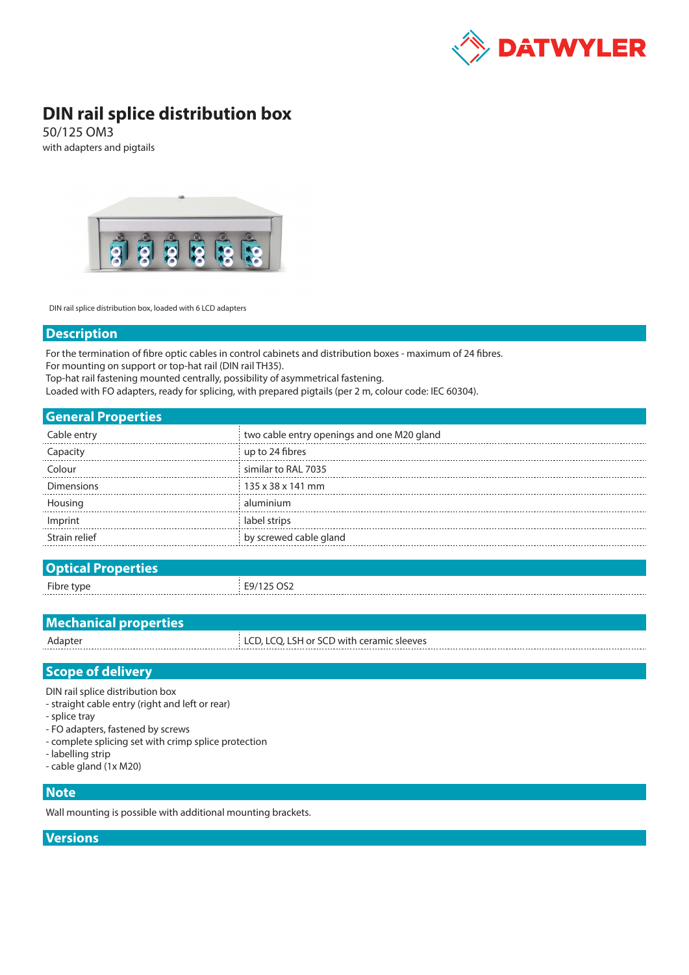

# **DIN rail splice distribution box**

50/125 OM3 with adapters and pigtails



DIN rail splice distribution box, loaded with 6 LCD adapters

#### **Description**

For the termination of fibre optic cables in control cabinets and distribution boxes - maximum of 24 fibres. For mounting on support or top-hat rail (DIN rail TH35).

Top-hat rail fastening mounted centrally, possibility of asymmetrical fastening.

Loaded with FO adapters, ready for splicing, with prepared pigtails (per 2 m, colour code: IEC 60304).

| <b>General Properties</b> |  |
|---------------------------|--|
|                           |  |

| Cable entry       | two cable entry openings and one M20 gland |
|-------------------|--------------------------------------------|
|                   | up to 24 fibres                            |
| Colour            | similar to RAL 7035                        |
| <b>Dimensions</b> | 135 x 38 x 141 mm                          |
| Housing           | aluminium                                  |
| Imprint           | label strips                               |
| Strain relief     | by screwed cable gland                     |
|                   |                                            |

| <b>Optical Properties</b> |            |
|---------------------------|------------|
| Fibre type                | E9/125 OS2 |
|                           |            |

| <b>Mechanical properties</b> |                                           |
|------------------------------|-------------------------------------------|
| Adapter                      | LCD, LCQ, LSH or SCD with ceramic sleeves |
|                              |                                           |

## **Scope of delivery**

DIN rail splice distribution box

- straight cable entry (right and left or rear)

- splice tray
- FO adapters, fastened by screws
- complete splicing set with crimp splice protection
- labelling strip
- cable gland (1x M20)

## **Note**

Wall mounting is possible with additional mounting brackets.

### **Versions**